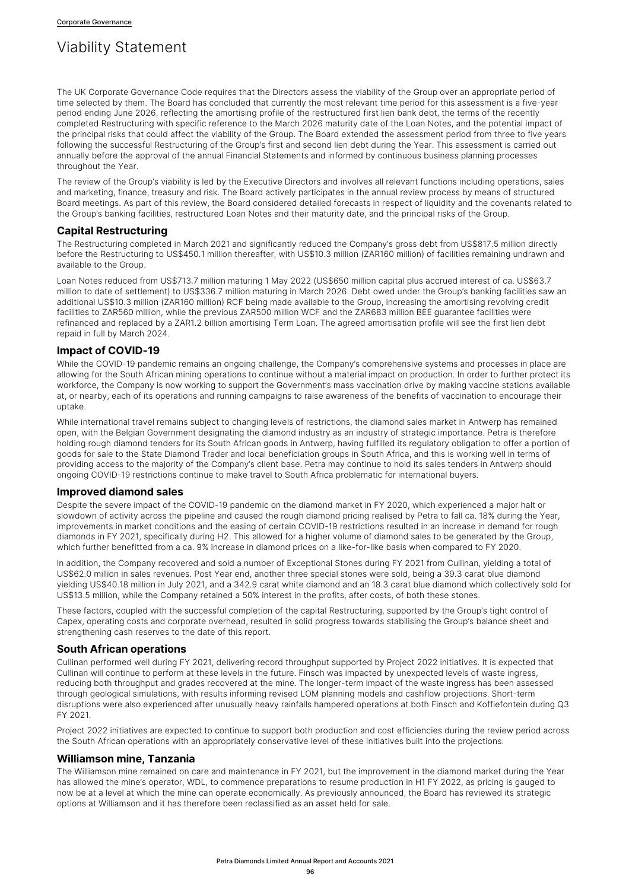# Viability Statement

The UK Corporate Governance Code requires that the Directors assess the viability of the Group over an appropriate period of time selected by them. The Board has concluded that currently the most relevant time period for this assessment is a five-year period ending June 2026, reflecting the amortising profile of the restructured first lien bank debt, the terms of the recently completed Restructuring with specific reference to the March 2026 maturity date of the Loan Notes, and the potential impact of the principal risks that could affect the viability of the Group. The Board extended the assessment period from three to five years following the successful Restructuring of the Group's first and second lien debt during the Year. This assessment is carried out annually before the approval of the annual Financial Statements and informed by continuous business planning processes throughout the Year.

The review of the Group's viability is led by the Executive Directors and involves all relevant functions including operations, sales and marketing, finance, treasury and risk. The Board actively participates in the annual review process by means of structured Board meetings. As part of this review, the Board considered detailed forecasts in respect of liquidity and the covenants related to the Group's banking facilities, restructured Loan Notes and their maturity date, and the principal risks of the Group.

## **Capital Restructuring**

The Restructuring completed in March 2021 and significantly reduced the Company's gross debt from US\$817.5 million directly before the Restructuring to US\$450.1 million thereafter, with US\$10.3 million (ZAR160 million) of facilities remaining undrawn and available to the Group.

Loan Notes reduced from US\$713.7 million maturing 1 May 2022 (US\$650 million capital plus accrued interest of ca. US\$63.7 million to date of settlement) to US\$336.7 million maturing in March 2026. Debt owed under the Group's banking facilities saw an additional US\$10.3 million (ZAR160 million) RCF being made available to the Group, increasing the amortising revolving credit facilities to ZAR560 million, while the previous ZAR500 million WCF and the ZAR683 million BEE guarantee facilities were refinanced and replaced by a ZAR1.2 billion amortising Term Loan. The agreed amortisation profile will see the first lien debt repaid in full by March 2024.

### **Impact of COVID-19**

While the COVID-19 pandemic remains an ongoing challenge, the Company's comprehensive systems and processes in place are allowing for the South African mining operations to continue without a material impact on production. In order to further protect its workforce, the Company is now working to support the Government's mass vaccination drive by making vaccine stations available at, or nearby, each of its operations and running campaigns to raise awareness of the benefits of vaccination to encourage their uptake.

While international travel remains subject to changing levels of restrictions, the diamond sales market in Antwerp has remained open, with the Belgian Government designating the diamond industry as an industry of strategic importance. Petra is therefore holding rough diamond tenders for its South African goods in Antwerp, having fulfilled its regulatory obligation to offer a portion of goods for sale to the State Diamond Trader and local beneficiation groups in South Africa, and this is working well in terms of providing access to the majority of the Company's client base. Petra may continue to hold its sales tenders in Antwerp should ongoing COVID-19 restrictions continue to make travel to South Africa problematic for international buyers.

### **Improved diamond sales**

Despite the severe impact of the COVID-19 pandemic on the diamond market in FY 2020, which experienced a major halt or slowdown of activity across the pipeline and caused the rough diamond pricing realised by Petra to fall ca. 18% during the Year, improvements in market conditions and the easing of certain COVID-19 restrictions resulted in an increase in demand for rough diamonds in FY 2021, specifically during H2. This allowed for a higher volume of diamond sales to be generated by the Group, which further benefitted from a ca. 9% increase in diamond prices on a like-for-like basis when compared to FY 2020.

In addition, the Company recovered and sold a number of Exceptional Stones during FY 2021 from Cullinan, yielding a total of US\$62.0 million in sales revenues. Post Year end, another three special stones were sold, being a 39.3 carat blue diamond yielding US\$40.18 million in July 2021, and a 342.9 carat white diamond and an 18.3 carat blue diamond which collectively sold for US\$13.5 million, while the Company retained a 50% interest in the profits, after costs, of both these stones.

These factors, coupled with the successful completion of the capital Restructuring, supported by the Group's tight control of Capex, operating costs and corporate overhead, resulted in solid progress towards stabilising the Group's balance sheet and strengthening cash reserves to the date of this report.

### **South African operations**

Cullinan performed well during FY 2021, delivering record throughput supported by Project 2022 initiatives. It is expected that Cullinan will continue to perform at these levels in the future. Finsch was impacted by unexpected levels of waste ingress, reducing both throughput and grades recovered at the mine. The longer-term impact of the waste ingress has been assessed through geological simulations, with results informing revised LOM planning models and cashflow projections. Short-term disruptions were also experienced after unusually heavy rainfalls hampered operations at both Finsch and Koffiefontein during Q3 FY 2021.

Project 2022 initiatives are expected to continue to support both production and cost efficiencies during the review period across the South African operations with an appropriately conservative level of these initiatives built into the projections.

#### **Williamson mine, Tanzania**

The Williamson mine remained on care and maintenance in FY 2021, but the improvement in the diamond market during the Year has allowed the mine's operator, WDL, to commence preparations to resume production in H1 FY 2022, as pricing is gauged to now be at a level at which the mine can operate economically. As previously announced, the Board has reviewed its strategic options at Williamson and it has therefore been reclassified as an asset held for sale.